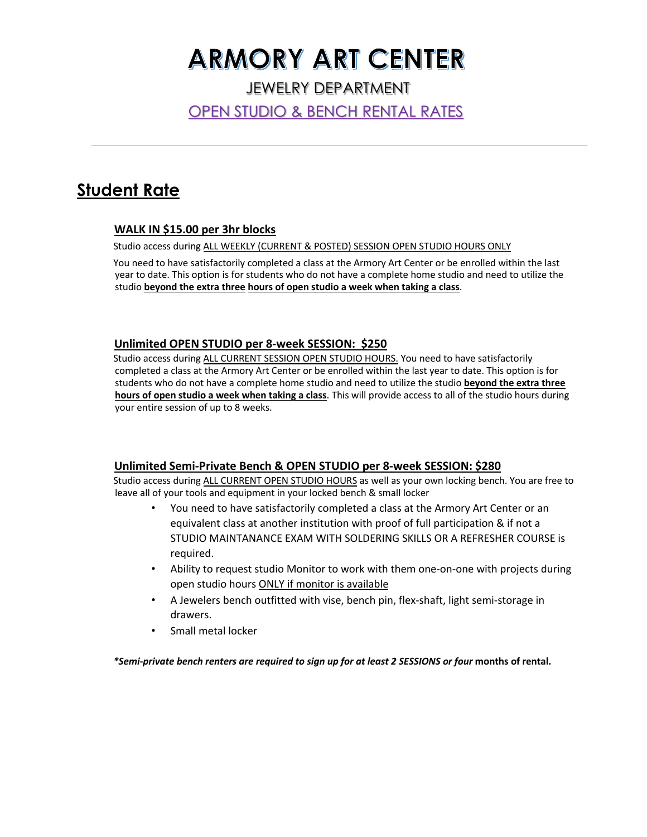# **ARMORY ART CENTER** JEWELRY DEPARTMENT OPEN STUDIO & BENCH RENTAL RATES

## **Student Rate**

### **WALK IN \$15.00 per 3hr blocks**

Studio access during ALL WEEKLY (CURRENT & POSTED) SESSION OPEN STUDIO HOURS ONLY

You need to have satisfactorily completed a class at the Armory Art Center or be enrolled within the last year to date. This option is for students who do not have a complete home studio and need to utilize the studio **beyond the extra three hours of open studio a week when taking a class**.

#### **Unlimited OPEN STUDIO per 8-week SESSION: \$250**

Studio access during ALL CURRENT SESSION OPEN STUDIO HOURS. You need to have satisfactorily completed a class at the Armory Art Center or be enrolled within the last year to date. This option is for students who do not have a complete home studio and need to utilize the studio **beyond the extra three hours of open studio a week when taking a class**. This will provide access to all of the studio hours during your entire session of up to 8 weeks.

### **Unlimited Semi-Private Bench & OPEN STUDIO per 8-week SESSION: \$280**

Studio access during ALL CURRENT OPEN STUDIO HOURS as well as your own locking bench. You are free to leave all of your tools and equipment in your locked bench & small locker

- You need to have satisfactorily completed a class at the Armory Art Center or an equivalent class at another institution with proof of full participation & if not a STUDIO MAINTANANCE EXAM WITH SOLDERING SKILLS OR A REFRESHER COURSE is required.
- Ability to request studio Monitor to work with them one-on-one with projects during open studio hours ONLY if monitor is available
- A Jewelers bench outfitted with vise, bench pin, flex-shaft, light semi-storage in drawers.
- Small metal locker

*\*Semi-private bench renters are required to sign up for at least 2 SESSIONS or four* **months of rental.**